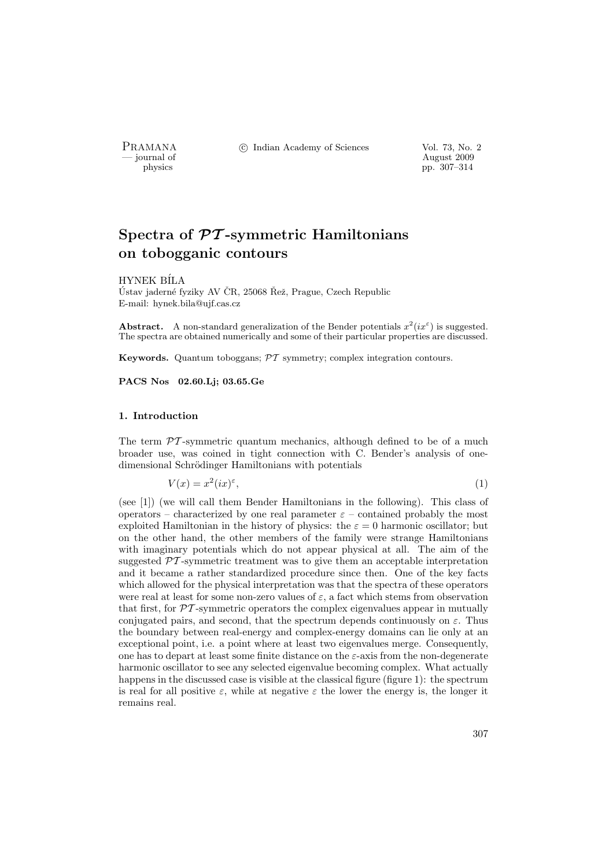PRAMANA °c Indian Academy of Sciences Vol. 73, No. 2

position of the contract of the contract of the contract 2009 physics and the contract of the contract 2009 pp. 307–314 physics pp. 307–314

# Spectra of  $\mathcal{PT}$ -symmetric Hamiltonians on tobogganic contours

HYNEK B´ILA

Ústav jaderné fyziky AV ČR, 25068 Řež, Prague, Czech Republic E-mail: hynek.bila@ujf.cas.cz

**Abstract.** A non-standard generalization of the Bender potentials  $x^2(ix^{\epsilon})$  is suggested. The spectra are obtained numerically and some of their particular properties are discussed.

Keywords. Quantum toboggans; PT symmetry; complex integration contours.

PACS Nos 02.60.Lj; 03.65.Ge

### 1. Introduction

The term  $\mathcal{PT}$ -symmetric quantum mechanics, although defined to be of a much broader use, was coined in tight connection with C. Bender's analysis of onedimensional Schrödinger Hamiltonians with potentials

> $V(x) = x^2(ix)^{\varepsilon}$ ,  $(1)$

(see [1]) (we will call them Bender Hamiltonians in the following). This class of operators – characterized by one real parameter  $\varepsilon$  – contained probably the most exploited Hamiltonian in the history of physics: the  $\varepsilon = 0$  harmonic oscillator; but on the other hand, the other members of the family were strange Hamiltonians with imaginary potentials which do not appear physical at all. The aim of the suggested  $\mathcal{PT}$ -symmetric treatment was to give them an acceptable interpretation and it became a rather standardized procedure since then. One of the key facts which allowed for the physical interpretation was that the spectra of these operators were real at least for some non-zero values of  $\varepsilon$ , a fact which stems from observation that first, for  $\mathcal{PT}$ -symmetric operators the complex eigenvalues appear in mutually conjugated pairs, and second, that the spectrum depends continuously on  $\varepsilon$ . Thus the boundary between real-energy and complex-energy domains can lie only at an exceptional point, i.e. a point where at least two eigenvalues merge. Consequently, one has to depart at least some finite distance on the  $\varepsilon$ -axis from the non-degenerate harmonic oscillator to see any selected eigenvalue becoming complex. What actually happens in the discussed case is visible at the classical figure (figure 1): the spectrum is real for all positive  $\varepsilon$ , while at negative  $\varepsilon$  the lower the energy is, the longer it remains real.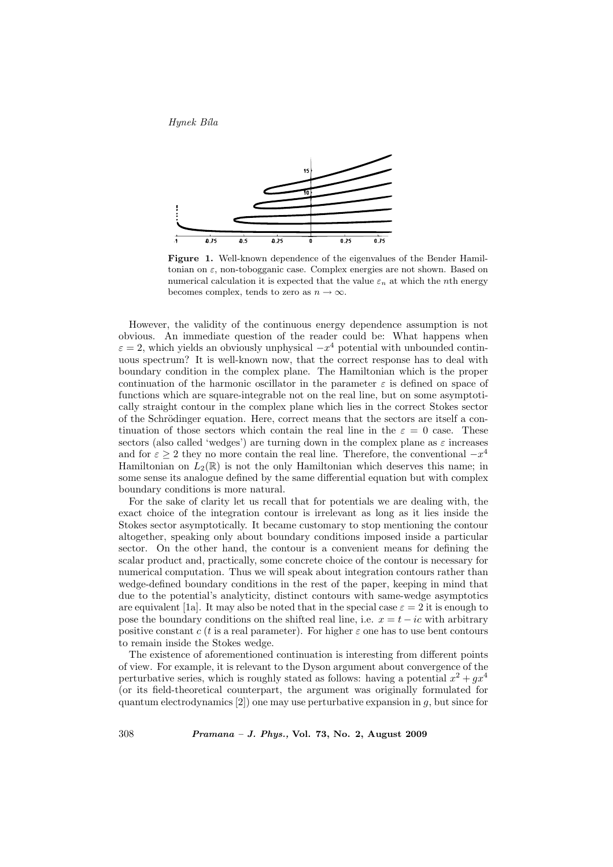Hynek Bîla



Figure 1. Well-known dependence of the eigenvalues of the Bender Hamiltonian on  $\varepsilon$ , non-tobogganic case. Complex energies are not shown. Based on numerical calculation it is expected that the value  $\varepsilon_n$  at which the *n*th energy becomes complex, tends to zero as  $n \to \infty$ .

However, the validity of the continuous energy dependence assumption is not obvious. An immediate question of the reader could be: What happens when  $\varepsilon = 2$ , which yields an obviously unphysical  $-x^4$  potential with unbounded continuous spectrum? It is well-known now, that the correct response has to deal with boundary condition in the complex plane. The Hamiltonian which is the proper continuation of the harmonic oscillator in the parameter  $\varepsilon$  is defined on space of functions which are square-integrable not on the real line, but on some asymptotically straight contour in the complex plane which lies in the correct Stokes sector of the Schrödinger equation. Here, correct means that the sectors are itself a continuation of those sectors which contain the real line in the  $\varepsilon = 0$  case. These sectors (also called 'wedges') are turning down in the complex plane as  $\varepsilon$  increases and for  $\varepsilon \geq 2$  they no more contain the real line. Therefore, the conventional  $-x^4$ Hamiltonian on  $L_2(\mathbb{R})$  is not the only Hamiltonian which deserves this name; in some sense its analogue defined by the same differential equation but with complex boundary conditions is more natural.

For the sake of clarity let us recall that for potentials we are dealing with, the exact choice of the integration contour is irrelevant as long as it lies inside the Stokes sector asymptotically. It became customary to stop mentioning the contour altogether, speaking only about boundary conditions imposed inside a particular sector. On the other hand, the contour is a convenient means for defining the scalar product and, practically, some concrete choice of the contour is necessary for numerical computation. Thus we will speak about integration contours rather than wedge-defined boundary conditions in the rest of the paper, keeping in mind that due to the potential's analyticity, distinct contours with same-wedge asymptotics are equivalent [1a]. It may also be noted that in the special case  $\varepsilon = 2$  it is enough to pose the boundary conditions on the shifted real line, i.e.  $x = t - ic$  with arbitrary positive constant c (t is a real parameter). For higher  $\varepsilon$  one has to use bent contours to remain inside the Stokes wedge.

The existence of aforementioned continuation is interesting from different points of view. For example, it is relevant to the Dyson argument about convergence of the perturbative series, which is roughly stated as follows: having a potential  $x^2 + gx^4$ (or its field-theoretical counterpart, the argument was originally formulated for quantum electrodynamics  $[2]$ ) one may use perturbative expansion in q, but since for

308 Pramana – J. Phys., Vol. 73, No. 2, August 2009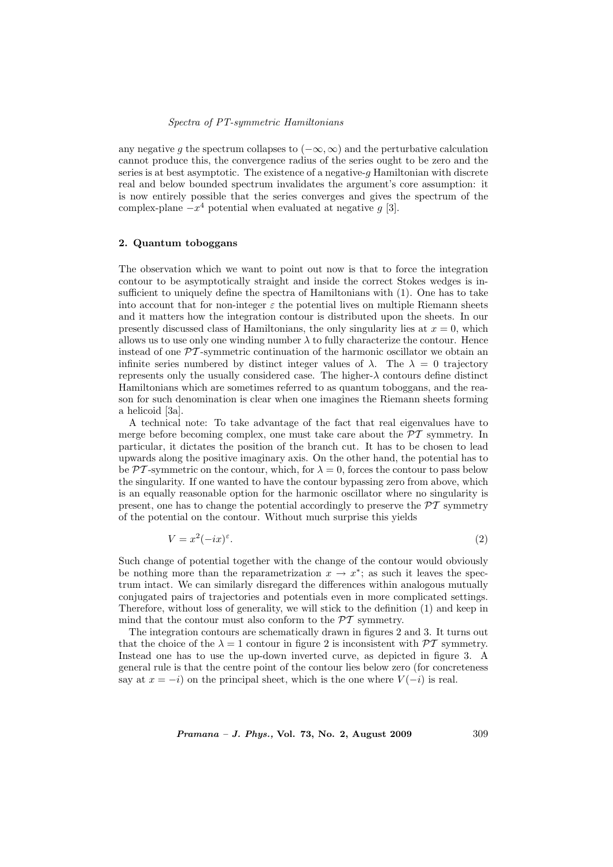### Spectra of PT-symmetric Hamiltonians

any negative q the spectrum collapses to  $(-\infty, \infty)$  and the perturbative calculation cannot produce this, the convergence radius of the series ought to be zero and the series is at best asymptotic. The existence of a negative- $q$  Hamiltonian with discrete real and below bounded spectrum invalidates the argument's core assumption: it is now entirely possible that the series converges and gives the spectrum of the complex-plane  $-x^4$  potential when evaluated at negative g [3].

# 2. Quantum toboggans

The observation which we want to point out now is that to force the integration contour to be asymptotically straight and inside the correct Stokes wedges is insufficient to uniquely define the spectra of Hamiltonians with (1). One has to take into account that for non-integer  $\varepsilon$  the potential lives on multiple Riemann sheets and it matters how the integration contour is distributed upon the sheets. In our presently discussed class of Hamiltonians, the only singularity lies at  $x = 0$ , which allows us to use only one winding number  $\lambda$  to fully characterize the contour. Hence instead of one  $\mathcal{P}\mathcal{T}$ -symmetric continuation of the harmonic oscillator we obtain an infinite series numbered by distinct integer values of  $\lambda$ . The  $\lambda = 0$  trajectory represents only the usually considered case. The higher-λ contours define distinct Hamiltonians which are sometimes referred to as quantum toboggans, and the reason for such denomination is clear when one imagines the Riemann sheets forming a helicoid [3a].

A technical note: To take advantage of the fact that real eigenvalues have to merge before becoming complex, one must take care about the  $\mathcal{PT}$  symmetry. In particular, it dictates the position of the branch cut. It has to be chosen to lead upwards along the positive imaginary axis. On the other hand, the potential has to be PT-symmetric on the contour, which, for  $\lambda = 0$ , forces the contour to pass below the singularity. If one wanted to have the contour bypassing zero from above, which is an equally reasonable option for the harmonic oscillator where no singularity is present, one has to change the potential accordingly to preserve the  $\mathcal{P}\mathcal{T}$  symmetry of the potential on the contour. Without much surprise this yields

$$
V = x^2(-ix)^{\varepsilon}.\tag{2}
$$

Such change of potential together with the change of the contour would obviously be nothing more than the reparametrization  $x \to x^*$ ; as such it leaves the spectrum intact. We can similarly disregard the differences within analogous mutually conjugated pairs of trajectories and potentials even in more complicated settings. Therefore, without loss of generality, we will stick to the definition (1) and keep in mind that the contour must also conform to the  $\mathcal{PT}$  symmetry.

The integration contours are schematically drawn in figures 2 and 3. It turns out that the choice of the  $\lambda = 1$  contour in figure 2 is inconsistent with  $\mathcal{PT}$  symmetry. Instead one has to use the up-down inverted curve, as depicted in figure 3. A general rule is that the centre point of the contour lies below zero (for concreteness say at  $x = -i$ ) on the principal sheet, which is the one where  $V(-i)$  is real.

*Pramana – J. Phys.*, Vol. 73, No. 2, August 2009  $309$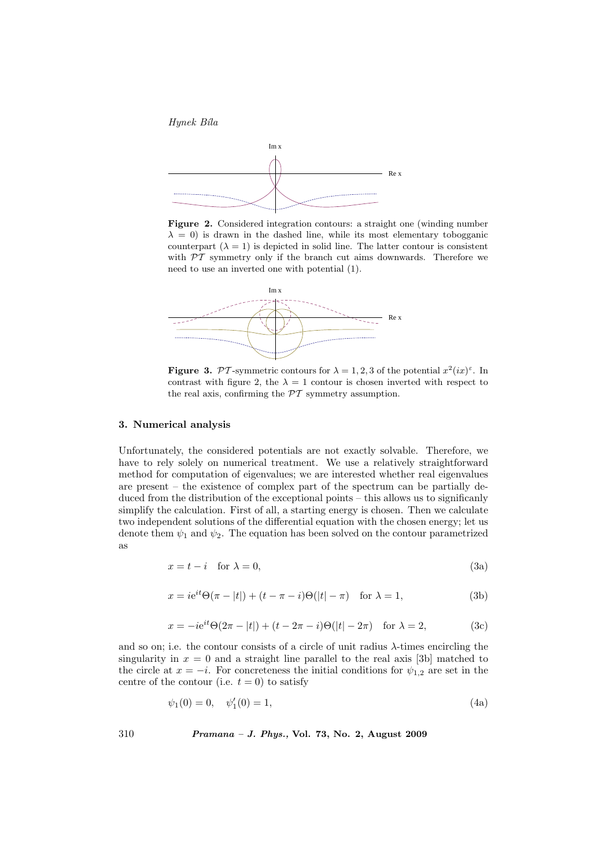



Figure 2. Considered integration contours: a straight one (winding number  $\lambda = 0$ ) is drawn in the dashed line, while its most elementary tobogganic counterpart  $(\lambda = 1)$  is depicted in solid line. The latter contour is consistent with  $PT$  symmetry only if the branch cut aims downwards. Therefore we need to use an inverted one with potential (1).



**Figure 3.** PT-symmetric contours for  $\lambda = 1, 2, 3$  of the potential  $x^2(ix)^{\epsilon}$ . In contrast with figure 2, the  $\lambda = 1$  contour is chosen inverted with respect to the real axis, confirming the  $\mathcal{PT}$  symmetry assumption.

# 3. Numerical analysis

Unfortunately, the considered potentials are not exactly solvable. Therefore, we have to rely solely on numerical treatment. We use a relatively straightforward method for computation of eigenvalues; we are interested whether real eigenvalues are present – the existence of complex part of the spectrum can be partially deduced from the distribution of the exceptional points – this allows us to significanly simplify the calculation. First of all, a starting energy is chosen. Then we calculate two independent solutions of the differential equation with the chosen energy; let us denote them  $\psi_1$  and  $\psi_2$ . The equation has been solved on the contour parametrized as

$$
x = t - i \quad \text{for } \lambda = 0,
$$
\n
$$
(3a)
$$

$$
x = ie^{it}\Theta(\pi - |t|) + (t - \pi - i)\Theta(|t| - \pi) \quad \text{for } \lambda = 1,
$$
 (3b)

$$
x = -ie^{it}\Theta(2\pi - |t|) + (t - 2\pi - i)\Theta(|t| - 2\pi) \text{ for } \lambda = 2,
$$
 (3c)

and so on; i.e. the contour consists of a circle of unit radius  $\lambda$ -times encircling the singularity in  $x = 0$  and a straight line parallel to the real axis [3b] matched to the circle at  $x = -i$ . For concreteness the initial conditions for  $\psi_{1,2}$  are set in the centre of the contour (i.e.  $t = 0$ ) to satisfy

$$
\psi_1(0) = 0, \quad \psi'_1(0) = 1,\tag{4a}
$$

310 Pramana – J. Phys., Vol. 73, No. 2, August 2009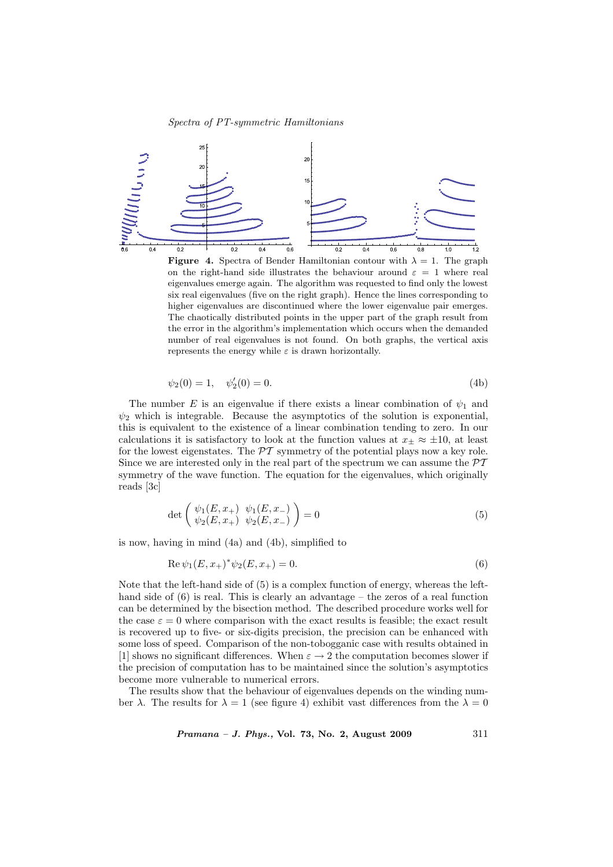

**Figure 4.** Spectra of Bender Hamiltonian contour with  $\lambda = 1$ . The graph on the right-hand side illustrates the behaviour around  $\varepsilon = 1$  where real eigenvalues emerge again. The algorithm was requested to find only the lowest six real eigenvalues (five on the right graph). Hence the lines corresponding to higher eigenvalues are discontinued where the lower eigenvalue pair emerges. The chaotically distributed points in the upper part of the graph result from the error in the algorithm's implementation which occurs when the demanded number of real eigenvalues is not found. On both graphs, the vertical axis represents the energy while  $\varepsilon$  is drawn horizontally.

$$
\psi_2(0) = 1, \quad \psi_2'(0) = 0. \tag{4b}
$$

The number E is an eigenvalue if there exists a linear combination of  $\psi_1$  and  $\psi_2$  which is integrable. Because the asymptotics of the solution is exponential, this is equivalent to the existence of a linear combination tending to zero. In our calculations it is satisfactory to look at the function values at  $x_{\pm} \approx \pm 10$ , at least for the lowest eigenstates. The  $\mathcal{PT}$  symmetry of the potential plays now a key role. Since we are interested only in the real part of the spectrum we can assume the  $\mathcal{PT}$ symmetry of the wave function. The equation for the eigenvalues, which originally reads [3c]

$$
\det \left( \begin{array}{cc} \psi_1(E, x_+) & \psi_1(E, x_-) \\ \psi_2(E, x_+) & \psi_2(E, x_-) \end{array} \right) = 0 \tag{5}
$$

is now, having in mind (4a) and (4b), simplified to

$$
Re \psi_1(E, x_+)^* \psi_2(E, x_+) = 0.
$$
\n(6)

Note that the left-hand side of (5) is a complex function of energy, whereas the lefthand side of  $(6)$  is real. This is clearly an advantage – the zeros of a real function can be determined by the bisection method. The described procedure works well for the case  $\varepsilon = 0$  where comparison with the exact results is feasible; the exact result is recovered up to five- or six-digits precision, the precision can be enhanced with some loss of speed. Comparison of the non-tobogganic case with results obtained in [1] shows no significant differences. When  $\varepsilon \to 2$  the computation becomes slower if the precision of computation has to be maintained since the solution's asymptotics become more vulnerable to numerical errors.

The results show that the behaviour of eigenvalues depends on the winding number  $\lambda$ . The results for  $\lambda = 1$  (see figure 4) exhibit vast differences from the  $\lambda = 0$ 

*Pramana – J. Phys.*, Vol. 73, No. 2, August 2009  $311$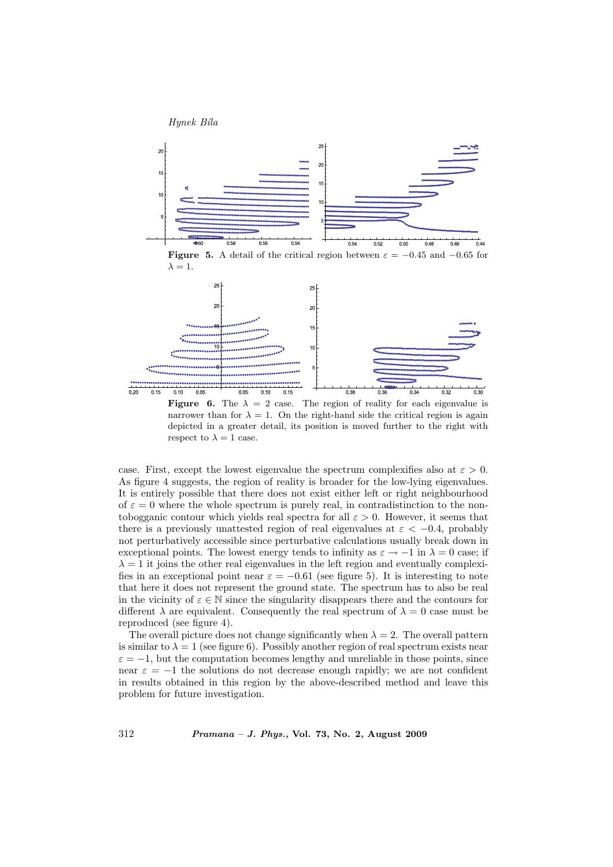



**Figure 6.** The  $\lambda = 2$  case. The region of reality for each eigenvalue is narrower than for  $\lambda = 1$ . On the right-hand side the critical region is again depicted in a greater detail, its position is moved further to the right with respect to  $\lambda = 1$  case.

case. First, except the lowest eigenvalue the spectrum complexifies also at  $\varepsilon > 0$ . As figure 4 suggests, the region of reality is broader for the low-lying eigenvalues. It is entirely possible that there does not exist either left or right neighbourhood of  $\varepsilon = 0$  where the whole spectrum is purely real, in contradistinction to the nontobogganic contour which yields real spectra for all  $\varepsilon > 0$ . However, it seems that there is a previously unattested region of real eigenvalues at  $\varepsilon < -0.4$ , probably not perturbatively accessible since perturbative calculations usually break down in exceptional points. The lowest energy tends to infinity as  $\varepsilon \to -1$  in  $\lambda = 0$  case; if  $\lambda = 1$  it joins the other real eigenvalues in the left region and eventually complexifies in an exceptional point near  $\varepsilon = -0.61$  (see figure 5). It is interesting to note that here it does not represent the ground state. The spectrum has to also be real in the vicinity of  $\varepsilon \in \mathbb{N}$  since the singularity disappears there and the contours for different  $\lambda$  are equivalent. Consequently the real spectrum of  $\lambda = 0$  case must be reproduced (see figure 4).

The overall picture does not change significantly when  $\lambda = 2$ . The overall pattern is similar to  $\lambda = 1$  (see figure 6). Possibly another region of real spectrum exists near  $\varepsilon = -1$ , but the computation becomes lengthy and unreliable in those points, since near  $\varepsilon = -1$  the solutions do not decrease enough rapidly; we are not confident in results obtained in this region by the above-described method and leave this problem for future investigation.

312 Pramana – J. Phys., Vol. 73, No. 2, August 2009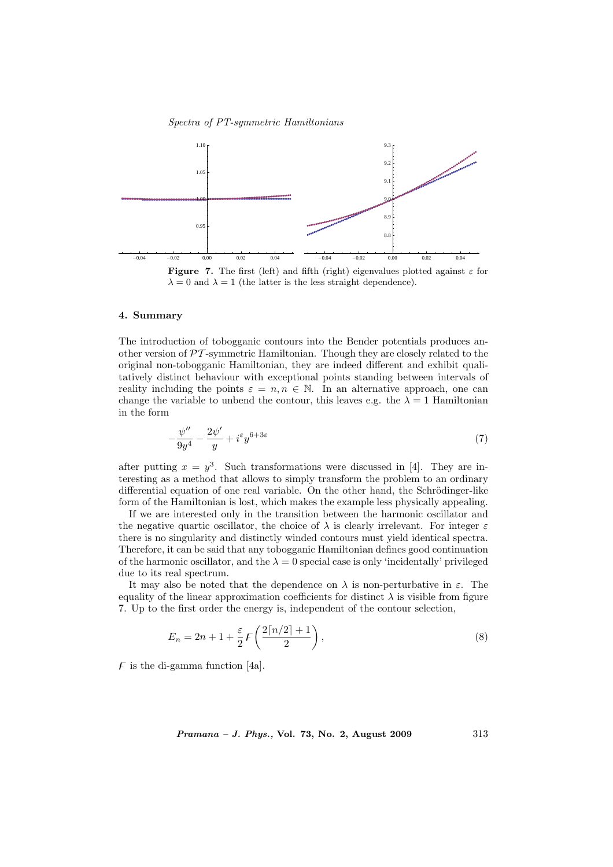#### Spectra of PT-symmetric Hamiltonians



#### 4. Summary

The introduction of tobogganic contours into the Bender potentials produces another version of  $\mathcal{PT}$ -symmetric Hamiltonian. Though they are closely related to the original non-tobogganic Hamiltonian, they are indeed different and exhibit qualitatively distinct behaviour with exceptional points standing between intervals of reality including the points  $\varepsilon = n, n \in \mathbb{N}$ . In an alternative approach, one can change the variable to unbend the contour, this leaves e.g. the  $\lambda = 1$  Hamiltonian in the form

$$
-\frac{\psi''}{9y^4} - \frac{2\psi'}{y} + i^{\varepsilon}y^{6+3\varepsilon} \tag{7}
$$

after putting  $x = y^3$ . Such transformations were discussed in [4]. They are interesting as a method that allows to simply transform the problem to an ordinary differential equation of one real variable. On the other hand, the Schrödinger-like form of the Hamiltonian is lost, which makes the example less physically appealing.

If we are interested only in the transition between the harmonic oscillator and the negative quartic oscillator, the choice of  $\lambda$  is clearly irrelevant. For integer  $\varepsilon$ there is no singularity and distinctly winded contours must yield identical spectra. Therefore, it can be said that any tobogganic Hamiltonian defines good continuation of the harmonic oscillator, and the  $\lambda = 0$  special case is only 'incidentally' privileged due to its real spectrum.

It may also be noted that the dependence on  $\lambda$  is non-perturbative in  $\varepsilon$ . The equality of the linear approximation coefficients for distinct  $\lambda$  is visible from figure 7. Up to the first order the energy is, independent of the contour selection,

$$
E_n = 2n + 1 + \frac{\varepsilon}{2} F\left(\frac{2\lceil n/2 \rceil + 1}{2}\right),\tag{8}
$$

 $\overline{F}$  is the di-gamma function [4a].

*Pramana – J. Phys.*, Vol. 73, No. 2, August 2009  $313$